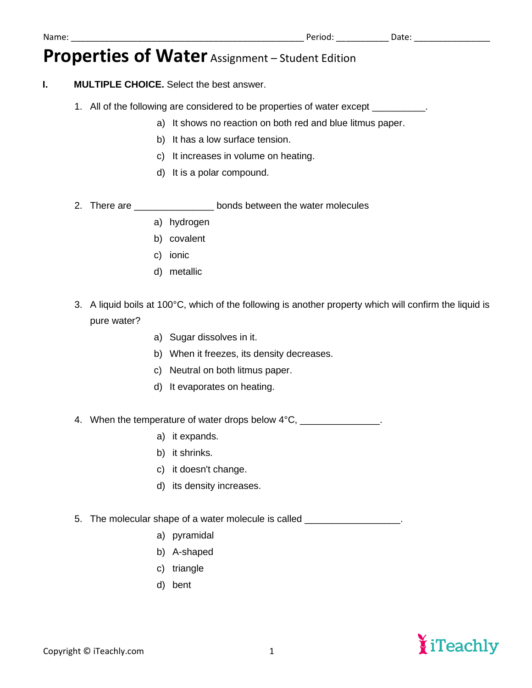## **Properties of Water** Assignment – Student Edition

### **I. MULTIPLE CHOICE.** Select the best answer.

- 1. All of the following are considered to be properties of water except
	- a) It shows no reaction on both red and blue litmus paper.
	- b) It has a low surface tension.
	- c) It increases in volume on heating.
	- d) It is a polar compound.
- 2. There are \_\_\_\_\_\_\_\_\_\_\_\_\_\_\_\_\_\_\_bonds between the water molecules
	- a) hydrogen
	- b) covalent
	- c) ionic
	- d) metallic
- 3. A liquid boils at 100°C, which of the following is another property which will confirm the liquid is pure water?
	- a) Sugar dissolves in it.
	- b) When it freezes, its density decreases.
	- c) Neutral on both litmus paper.
	- d) It evaporates on heating.

4. When the temperature of water drops below  $4^{\circ}$ C, \_\_\_\_\_\_\_\_\_\_\_\_\_\_\_\_.

- a) it expands.
- b) it shrinks.
- c) it doesn't change.
- d) its density increases.
- 5. The molecular shape of a water molecule is called \_\_\_\_\_\_\_\_\_\_\_\_\_\_\_\_\_\_\_\_\_\_\_\_\_\_\_
	- a) pyramidal
	- b) A-shaped
	- c) triangle
	- d) bent

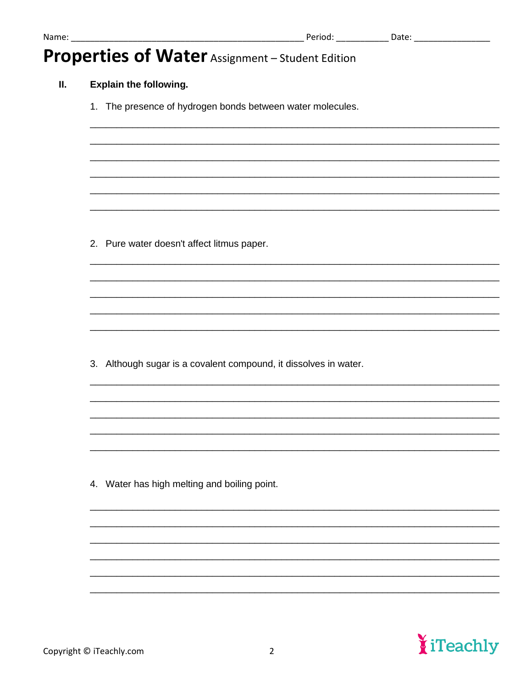# Properties of Water Assignment - Student Edition

### **Explain the following.** II.

1. The presence of hydrogen bonds between water molecules.

2. Pure water doesn't affect litmus paper.

3. Although sugar is a covalent compound, it dissolves in water.

4. Water has high melting and boiling point.